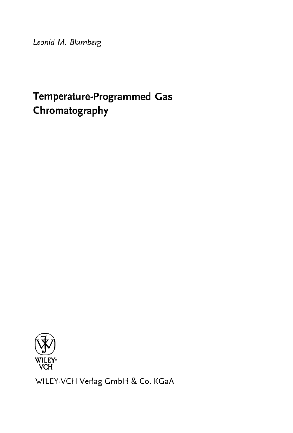Leonid M. Blumberg

# Temperature-Programmed Gas Chromatography



WILEY-VCH Verlag GmbH & Co. KGaA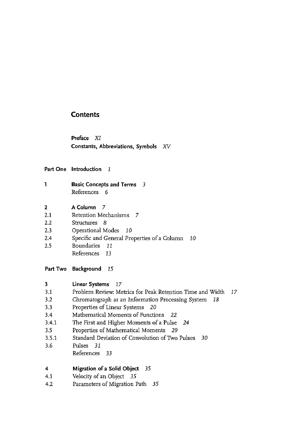#### **Contents**

Preface XI Constants, Abbreviations, Symbols XV

#### Part One Introduction 1

- 1 Basic Concepts and Terms 3 References 6
- <sup>2</sup> A Column <sup>7</sup>
- 2.1 Retention Mechanisms 7
- 2.2 Structures 8
- 2.3 Operational Modes <sup>10</sup>
- 2.4 Specific and General Properties of a Column 10
- 2.5 Boundaries 11
	- References 13
- Part Two Background <sup>15</sup>
- <sup>3</sup> Linear Systems 17 3.1 Problem Review Metrics for Peak Retention Time and Width 3.2 Chromatograph as an Information Processing System 18 3.3 Properties of Linear Systems 20 3.4 Mathematical Moments of Functions 22 3.4.1 The First and Higher Moments of a Pulse 24 3.5 Properties of Mathematical Moments 29 3.5.1 Standard Deviation of Convolution of Two Pulses 30 3.6 Pulses 31 References 33 4 Migration ofa Solid Object 35
- 4.1 Velocity of an Object 35
- 4.2 Parameters of Migration Path 35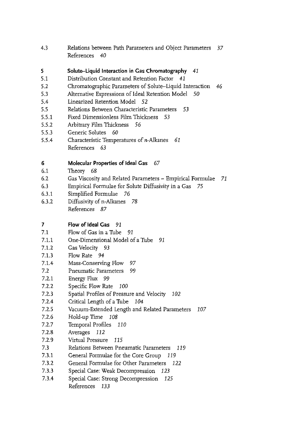4.3 Relations between Path Parameters and Object Parameters 37 References 40

## <sup>5</sup> Solute-Liquid Interaction in Gas Chromatography 41

- 5.1 Distribution Constant and Retention Factor 41
- 5.2 Chromatographic Parameters of Solute-liquid Interaction 46
- 5.3 Alternative Expressions of Ideal Retention Model 50
- 5.4 Linearized Retention Model 52
- 5.5 Relations Between Characteristic Parameters 53
- 5.5.1 Fixed Dimensionless Film Thickness 53
- 5.5.2 Arbitrary Film Thickness 56
- 5.5.3 Generic Solutes 60
- 5.5.4 Characteristic Temperatures of n-Alkanes 61 References 63

#### 6 Molecular Properties of Ideal Gas 67

- 6.1 Theory 68
- 6.2 Gas Viscosity and Related Parameters Empirical Formulae 71
- 6.3 Empirical Formulae for Solute Diffusivity in <sup>a</sup> Gas 75
- 6.3.1 Simplified Formulae 76
- 6.3.2 Diffusivity of n-Alkanes 78 References 87

## <sup>7</sup> Flow of Ideal Gas 91

- 7.1 Flow of Gas in a Tube 91
- 7.1.1 One-Dimensional Model of a Tube 91
- 7.1.2 Gas Velocity 93
- 7.1.3 Flow Rate 94
- 7.1.4 Mass-Conserving Flow 97
- 7.2 Pneumatic Parameters 99
- 7.2.1 Energy Flux 99
- 7.2.2 Specific Flow Rate <sup>100</sup>
- 7.2.3 Spatial Profiles of Pressure and Velocity 102
- 7.2.4 Critical Length of a Tube 104
- 7.2.5 Vacuum-Extended Length and Related Parameters 107
- 7.2.6 Hold-up Time 108
- 7.2.7 Temporal Profiles 110
- 7.2.8 Averages 122
- 7.2.9 Virtual Pressure 115
- 7.3 Relations Between Pneumatic Parameters 119
- 7.3.1 General Formulae for the Core Group 119
- 7.3.2 General Formulae for Other Parameters 122
- 7.3.3 Special Case: Weak Decompression <sup>123</sup>
- 7.3.4 Special Case: Strong Decompression 125 References 133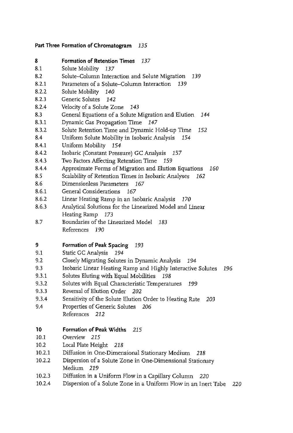#### Part Three Formation of Chromatogram 135

- 8 Formation of Retention Times 137
- 8.1 Solute Mobility 137
- 8.2 Solute-Column Interaction and Solute Migration 139
- 8.2.1 Parameters of a Solute-Column Interaction 139
- 8.2.2 Solute Mobility 140
- 8.2.3 Generic Solutes 142
- 8.2.4 Velocity of a Solute Zone 143
- 8.3 General Equations of a Solute Migration and Elution 144
- 8.3.1 Dynamic Gas Propagation Time <sup>147</sup>
- 8.3.2 Solute Retention Time and Dynamic Hold-up Time <sup>152</sup>
- 8.4 Uniform Solute Mobility in Isobaric Analysis 154
- 8.4.1 Uniform Mobility 154
- 8.4.2 Isobaric (Constant Pressure) GC Analysis <sup>157</sup>
- 8.4.3 Two Factors Affecting Retention Time 159
- 8.4.4 Approximate Forms of Migration and Elution Equations 160
- 8.5 Scalability of Retention Times in Isobaric Analyses 162
- 8.6 Dimensionless Parameters 167
- 8.6.1 General Considerations 167
- 8.6.2 Linear Heating Ramp in an Isobaric Analysis 170
- 8.6.3 Analytical Solutions for the Linearized Model and Linear Heating Ramp <sup>173</sup>
- 8.7 Boundaries of the Linearized Model 183 References 190

### 9 Formation of Peak Spacing 193

- 9.1 Static GC Analysis 294
- 9.2 Closely Migrating Solutes in Dynamic Analysis 194
- 9.3 Isobaric Linear Heating Ramp and Highly Interactive Solutes 196
- 9.3.1 Solutes Eluting with Equal Mobilities 198
- 9.3.2 Solutes with Equal Characteristic Temperatures 199
- 9.3.3 Reversal of Elution Order 202
- 9.3.4 Sensitivity of the Solute Elution Order to Heating Rate 203
- 9.4 Properties of Generic Solutes 206 References 212

## 10 Formation of Peak Widths 215

- 10.1 Overview 215
- 10.2 Local Plate Height 218
- 10.2.1 Diffusion in One-Dimensional Stationary Medium 218
- 10.2.2 Dispersion of a Solute Zone in One-Dimensional Stationary Medium 219
- 10.2.3 Diffusion in <sup>a</sup> Uniform Flow in <sup>a</sup> Capillary Column 220
- 10.2.4 Dispersion of a Solute Zone in a Uniform Flow in an Inert Tube 220